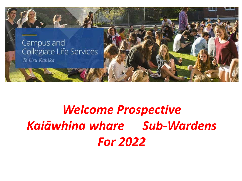

## **Welcome Prospective** Kaiāwhina whare Sub-Wardens **For 2022**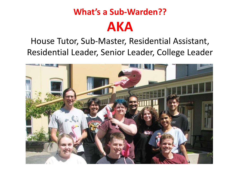### **What's a Sub-Warden?? AKA**

#### House Tutor, Sub-Master, Residential Assistant, Residential Leader, Senior Leader, College Leader

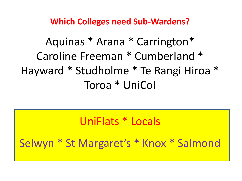**Which Colleges need Sub-Wardens?** 

Aquinas \* Arana \* Carrington\* Caroline Freeman \* Cumberland \* Hayward \* Studholme \* Te Rangi Hiroa \* Toroa \* UniCol

UniFlats \* Locals

Selwyn \* St Margaret's \* Knox \* Salmond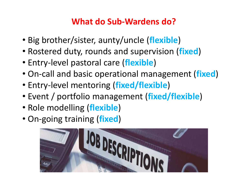#### **What do Sub-Wardens do?**

- Big brother/sister, aunty/uncle (**flexible**)
- Rostered duty, rounds and supervision (**fixed**)
- Entry-level pastoral care (**flexible**)
- On-call and basic operational management (**fixed**)
- Entry-level mentoring (**fixed/flexible**)
- Event / portfolio management (**fixed/flexible**)
- Role modelling (**flexible**)
- On-going training (**fixed**)

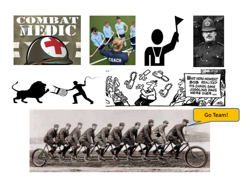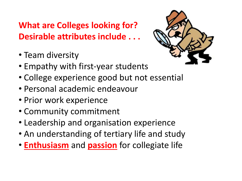#### **What are Colleges looking for? Desirable attributes include . . .**

- Team diversity
- Empathy with first-year students
- College experience good but not essential
- Personal academic endeavour
- Prior work experience
- Community commitment
- Leadership and organisation experience
- An understanding of tertiary life and study
- **Enthusiasm** and **passion** for collegiate life

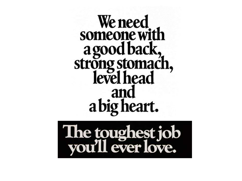## We need someone with a good back,<br>strong stomach,<br>level head and a big heart.

# The toughest job<br>you'll ever love.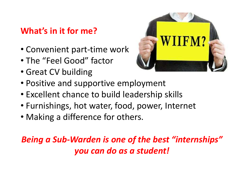#### **What's in it for me?**

- Convenient part-time work
- The "Feel Good" factor
- Great CV building



- Positive and supportive employment
- Excellent chance to build leadership skills
- Furnishings, hot water, food, power, Internet
- Making a difference for others.

#### *Being a Sub-Warden is one of the best "internships" you can do as a student!*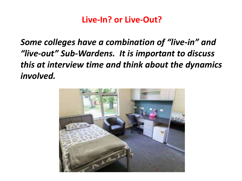#### **Live-In? or Live-Out?**

*Some colleges have a combination of "live-in" and "live-out" Sub-Wardens. It is important to discuss this at interview time and think about the dynamics involved.* 

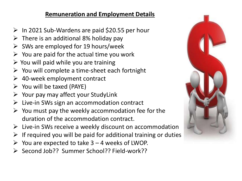#### **Remuneration and Employment Details**

- $\triangleright$  In 2021 Sub-Wardens are paid \$20.55 per hour
- $\triangleright$  There is an additional 8% holiday pay
- $\triangleright$  SWs are employed for 19 hours/week
- $\triangleright$  You are paid for the actual time you work
- $\triangleright$  You will paid while you are training
- $\triangleright$  You will complete a time-sheet each fortnight
- 40-week employment contract
- $\triangleright$  You will be taxed (PAYE)
- $\triangleright$  Your pay may affect your StudyLink
- $\triangleright$  Live-in SWs sign an accommodation contract
- $\triangleright$  You must pay the weekly accommodation fee for the duration of the accommodation contract.
- $\triangleright$  Live-in SWs receive a weekly discount on accommodation
- $\triangleright$  If required you will be paid for additional training or duties
- $\triangleright$  You are expected to take 3 4 weeks of LWOP.
- ▶ Second Job?? Summer School?? Field-work??

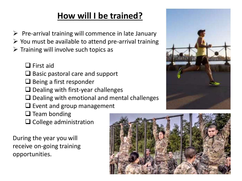#### **How will I be trained?**

- $\triangleright$  Pre-arrival training will commence in late January
- $\triangleright$  You must be available to attend pre-arrival training
- $\triangleright$  Training will involve such topics as

 $\Box$  First aid

- $\Box$  Basic pastoral care and support
- $\Box$  Being a first responder
- $\Box$  Dealing with first-year challenges
- $\Box$  Dealing with emotional and mental challenges
- $\Box$  Event and group management
- $\square$  Team bonding
- $\Box$  College administration

During the year you will receive on-going training opportunities.



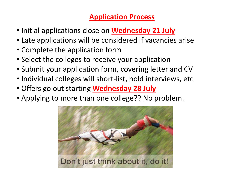#### **Application Process**

- Initial applications close on **Wednesday 21 July**
- Late applications will be considered if vacancies arise
- Complete the application form
- Select the colleges to receive your application
- Submit your application form, covering letter and CV
- Individual colleges will short-list, hold interviews, etc
- Offers go out starting **Wednesday 28 July**
- Applying to more than one college?? No problem.

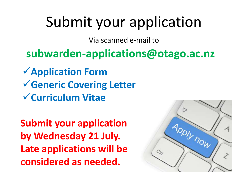## Submit your application

Via scanned e-mail to

#### **subwarden-applications@otago.ac.nz**

**Application Form Generic Covering Letter Curriculum Vitae** 

**Submit your application by Wednesday 21 July. Late applications will be considered as needed.** 

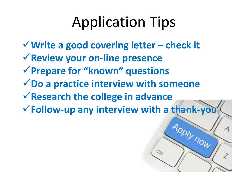## Application Tips

**Write a good covering letter – check it Review your on-line presence Prepare for "known" questions Do a practice interview with someone Research the college in advance Follow-up any interview with a thank-you**

**INOW**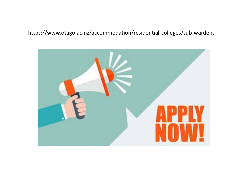#### https://www.otago.ac.nz/accommodation/residential-colleges/sub-wardens